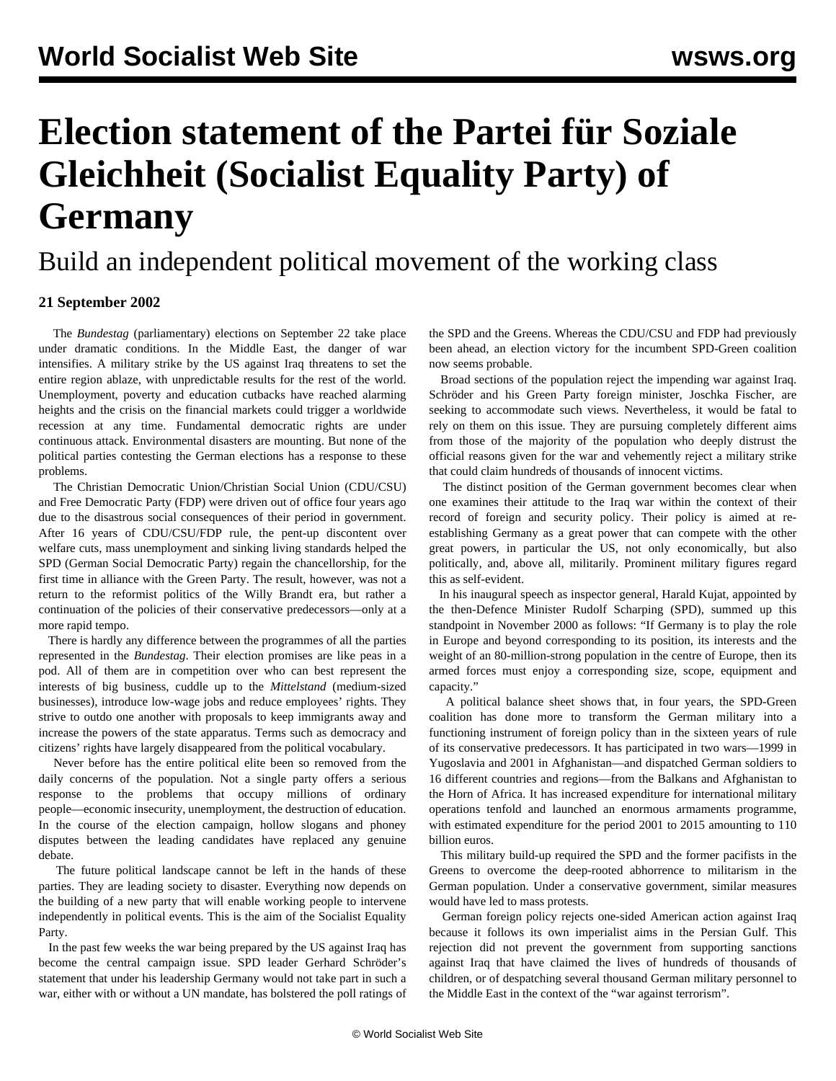## **Election statement of the Partei für Soziale Gleichheit (Socialist Equality Party) of Germany**

Build an independent political movement of the working class

## **21 September 2002**

 The *Bundestag* (parliamentary) elections on September 22 take place under dramatic conditions. In the Middle East, the danger of war intensifies. A military strike by the US against Iraq threatens to set the entire region ablaze, with unpredictable results for the rest of the world. Unemployment, poverty and education cutbacks have reached alarming heights and the crisis on the financial markets could trigger a worldwide recession at any time. Fundamental democratic rights are under continuous attack. Environmental disasters are mounting. But none of the political parties contesting the German elections has a response to these problems.

 The Christian Democratic Union/Christian Social Union (CDU/CSU) and Free Democratic Party (FDP) were driven out of office four years ago due to the disastrous social consequences of their period in government. After 16 years of CDU/CSU/FDP rule, the pent-up discontent over welfare cuts, mass unemployment and sinking living standards helped the SPD (German Social Democratic Party) regain the chancellorship, for the first time in alliance with the Green Party. The result, however, was not a return to the reformist politics of the Willy Brandt era, but rather a continuation of the policies of their conservative predecessors—only at a more rapid tempo.

 There is hardly any difference between the programmes of all the parties represented in the *Bundestag*. Their election promises are like peas in a pod. All of them are in competition over who can best represent the interests of big business, cuddle up to the *Mittelstand* (medium-sized businesses), introduce low-wage jobs and reduce employees' rights. They strive to outdo one another with proposals to keep immigrants away and increase the powers of the state apparatus. Terms such as democracy and citizens' rights have largely disappeared from the political vocabulary.

 Never before has the entire political elite been so removed from the daily concerns of the population. Not a single party offers a serious response to the problems that occupy millions of ordinary people—economic insecurity, unemployment, the destruction of education. In the course of the election campaign, hollow slogans and phoney disputes between the leading candidates have replaced any genuine debate.

 The future political landscape cannot be left in the hands of these parties. They are leading society to disaster. Everything now depends on the building of a new party that will enable working people to intervene independently in political events. This is the aim of the Socialist Equality Party.

 In the past few weeks the war being prepared by the US against Iraq has become the central campaign issue. SPD leader Gerhard Schröder's statement that under his leadership Germany would not take part in such a war, either with or without a UN mandate, has bolstered the poll ratings of the SPD and the Greens. Whereas the CDU/CSU and FDP had previously been ahead, an election victory for the incumbent SPD-Green coalition now seems probable.

 Broad sections of the population reject the impending war against Iraq. Schröder and his Green Party foreign minister, Joschka Fischer, are seeking to accommodate such views. Nevertheless, it would be fatal to rely on them on this issue. They are pursuing completely different aims from those of the majority of the population who deeply distrust the official reasons given for the war and vehemently reject a military strike that could claim hundreds of thousands of innocent victims.

 The distinct position of the German government becomes clear when one examines their attitude to the Iraq war within the context of their record of foreign and security policy. Their policy is aimed at reestablishing Germany as a great power that can compete with the other great powers, in particular the US, not only economically, but also politically, and, above all, militarily. Prominent military figures regard this as self-evident.

 In his inaugural speech as inspector general, Harald Kujat, appointed by the then-Defence Minister Rudolf Scharping (SPD), summed up this standpoint in November 2000 as follows: "If Germany is to play the role in Europe and beyond corresponding to its position, its interests and the weight of an 80-million-strong population in the centre of Europe, then its armed forces must enjoy a corresponding size, scope, equipment and capacity."

 A political balance sheet shows that, in four years, the SPD-Green coalition has done more to transform the German military into a functioning instrument of foreign policy than in the sixteen years of rule of its conservative predecessors. It has participated in two wars—1999 in Yugoslavia and 2001 in Afghanistan—and dispatched German soldiers to 16 different countries and regions—from the Balkans and Afghanistan to the Horn of Africa. It has increased expenditure for international military operations tenfold and launched an enormous armaments programme, with estimated expenditure for the period 2001 to 2015 amounting to 110 billion euros.

 This military build-up required the SPD and the former pacifists in the Greens to overcome the deep-rooted abhorrence to militarism in the German population. Under a conservative government, similar measures would have led to mass protests.

 German foreign policy rejects one-sided American action against Iraq because it follows its own imperialist aims in the Persian Gulf. This rejection did not prevent the government from supporting sanctions against Iraq that have claimed the lives of hundreds of thousands of children, or of despatching several thousand German military personnel to the Middle East in the context of the "war against terrorism".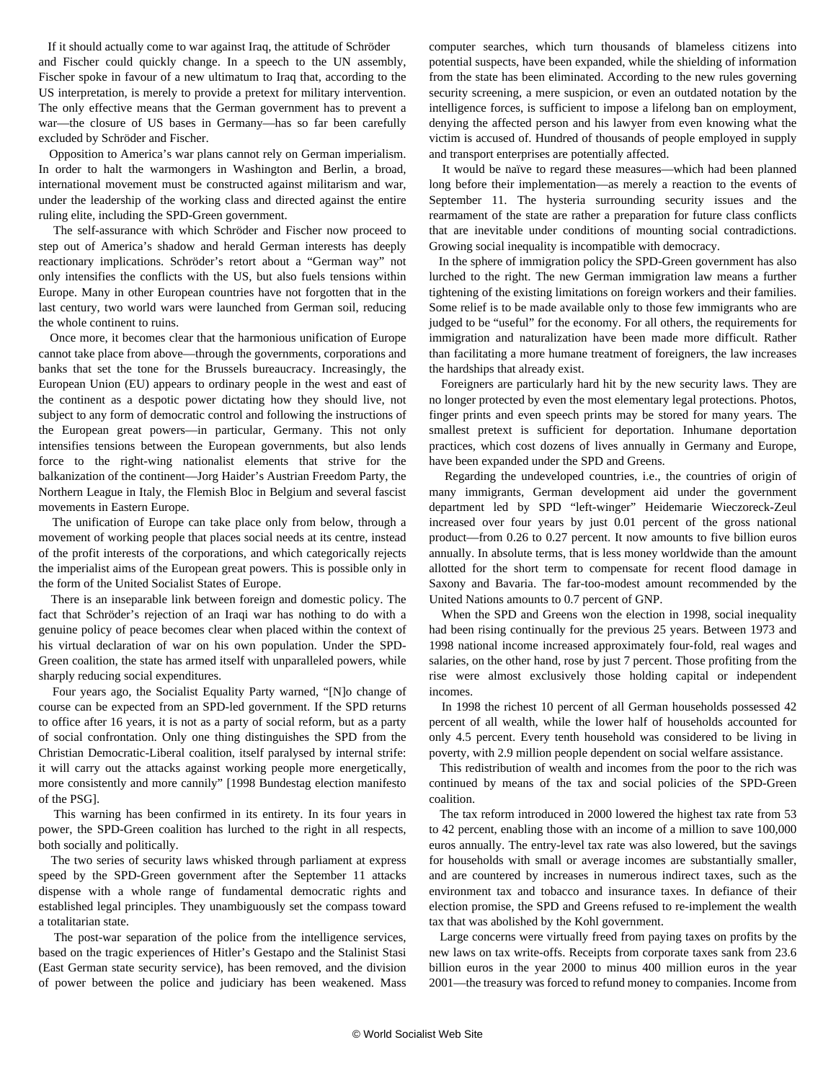If it should actually come to war against Iraq, the attitude of Schröder and Fischer could quickly change. In a speech to the UN assembly, Fischer spoke in favour of a new ultimatum to Iraq that, according to the US interpretation, is merely to provide a pretext for military intervention. The only effective means that the German government has to prevent a war—the closure of US bases in Germany—has so far been carefully excluded by Schröder and Fischer.

 Opposition to America's war plans cannot rely on German imperialism. In order to halt the warmongers in Washington and Berlin, a broad, international movement must be constructed against militarism and war, under the leadership of the working class and directed against the entire ruling elite, including the SPD-Green government.

 The self-assurance with which Schröder and Fischer now proceed to step out of America's shadow and herald German interests has deeply reactionary implications. Schröder's retort about a "German way" not only intensifies the conflicts with the US, but also fuels tensions within Europe. Many in other European countries have not forgotten that in the last century, two world wars were launched from German soil, reducing the whole continent to ruins.

 Once more, it becomes clear that the harmonious unification of Europe cannot take place from above—through the governments, corporations and banks that set the tone for the Brussels bureaucracy. Increasingly, the European Union (EU) appears to ordinary people in the west and east of the continent as a despotic power dictating how they should live, not subject to any form of democratic control and following the instructions of the European great powers—in particular, Germany. This not only intensifies tensions between the European governments, but also lends force to the right-wing nationalist elements that strive for the balkanization of the continent—Jorg Haider's Austrian Freedom Party, the Northern League in Italy, the Flemish Bloc in Belgium and several fascist movements in Eastern Europe.

 The unification of Europe can take place only from below, through a movement of working people that places social needs at its centre, instead of the profit interests of the corporations, and which categorically rejects the imperialist aims of the European great powers. This is possible only in the form of the United Socialist States of Europe.

 There is an inseparable link between foreign and domestic policy. The fact that Schröder's rejection of an Iraqi war has nothing to do with a genuine policy of peace becomes clear when placed within the context of his virtual declaration of war on his own population. Under the SPD-Green coalition, the state has armed itself with unparalleled powers, while sharply reducing social expenditures.

 Four years ago, the Socialist Equality Party warned, "[N]o change of course can be expected from an SPD-led government. If the SPD returns to office after 16 years, it is not as a party of social reform, but as a party of social confrontation. Only one thing distinguishes the SPD from the Christian Democratic-Liberal coalition, itself paralysed by internal strife: it will carry out the attacks against working people more energetically, more consistently and more cannily" [\[1998 Bundestag election manifesto](../../../news/1998/aug1998/psg-a28.shtml) [of the PSG\]](../../../news/1998/aug1998/psg-a28.shtml).

 This warning has been confirmed in its entirety. In its four years in power, the SPD-Green coalition has lurched to the right in all respects, both socially and politically.

 The two series of security laws whisked through parliament at express speed by the SPD-Green government after the September 11 attacks dispense with a whole range of fundamental democratic rights and established legal principles. They unambiguously set the compass toward a totalitarian state.

 The post-war separation of the police from the intelligence services, based on the tragic experiences of Hitler's Gestapo and the Stalinist Stasi (East German state security service), has been removed, and the division of power between the police and judiciary has been weakened. Mass computer searches, which turn thousands of blameless citizens into potential suspects, have been expanded, while the shielding of information from the state has been eliminated. According to the new rules governing security screening, a mere suspicion, or even an outdated notation by the intelligence forces, is sufficient to impose a lifelong ban on employment, denying the affected person and his lawyer from even knowing what the victim is accused of. Hundred of thousands of people employed in supply and transport enterprises are potentially affected.

 It would be naïve to regard these measures—which had been planned long before their implementation—as merely a reaction to the events of September 11. The hysteria surrounding security issues and the rearmament of the state are rather a preparation for future class conflicts that are inevitable under conditions of mounting social contradictions. Growing social inequality is incompatible with democracy.

 In the sphere of immigration policy the SPD-Green government has also lurched to the right. The new German immigration law means a further tightening of the existing limitations on foreign workers and their families. Some relief is to be made available only to those few immigrants who are judged to be "useful" for the economy. For all others, the requirements for immigration and naturalization have been made more difficult. Rather than facilitating a more humane treatment of foreigners, the law increases the hardships that already exist.

 Foreigners are particularly hard hit by the new security laws. They are no longer protected by even the most elementary legal protections. Photos, finger prints and even speech prints may be stored for many years. The smallest pretext is sufficient for deportation. Inhumane deportation practices, which cost dozens of lives annually in Germany and Europe, have been expanded under the SPD and Greens.

 Regarding the undeveloped countries, i.e., the countries of origin of many immigrants, German development aid under the government department led by SPD "left-winger" Heidemarie Wieczoreck-Zeul increased over four years by just 0.01 percent of the gross national product—from 0.26 to 0.27 percent. It now amounts to five billion euros annually. In absolute terms, that is less money worldwide than the amount allotted for the short term to compensate for recent flood damage in Saxony and Bavaria. The far-too-modest amount recommended by the United Nations amounts to 0.7 percent of GNP.

 When the SPD and Greens won the election in 1998, social inequality had been rising continually for the previous 25 years. Between 1973 and 1998 national income increased approximately four-fold, real wages and salaries, on the other hand, rose by just 7 percent. Those profiting from the rise were almost exclusively those holding capital or independent incomes.

 In 1998 the richest 10 percent of all German households possessed 42 percent of all wealth, while the lower half of households accounted for only 4.5 percent. Every tenth household was considered to be living in poverty, with 2.9 million people dependent on social welfare assistance.

 This redistribution of wealth and incomes from the poor to the rich was continued by means of the tax and social policies of the SPD-Green coalition.

 The tax reform introduced in 2000 lowered the highest tax rate from 53 to 42 percent, enabling those with an income of a million to save 100,000 euros annually. The entry-level tax rate was also lowered, but the savings for households with small or average incomes are substantially smaller, and are countered by increases in numerous indirect taxes, such as the environment tax and tobacco and insurance taxes. In defiance of their election promise, the SPD and Greens refused to re-implement the wealth tax that was abolished by the Kohl government.

 Large concerns were virtually freed from paying taxes on profits by the new laws on tax write-offs. Receipts from corporate taxes sank from 23.6 billion euros in the year 2000 to minus 400 million euros in the year 2001—the treasury was forced to refund money to companies. Income from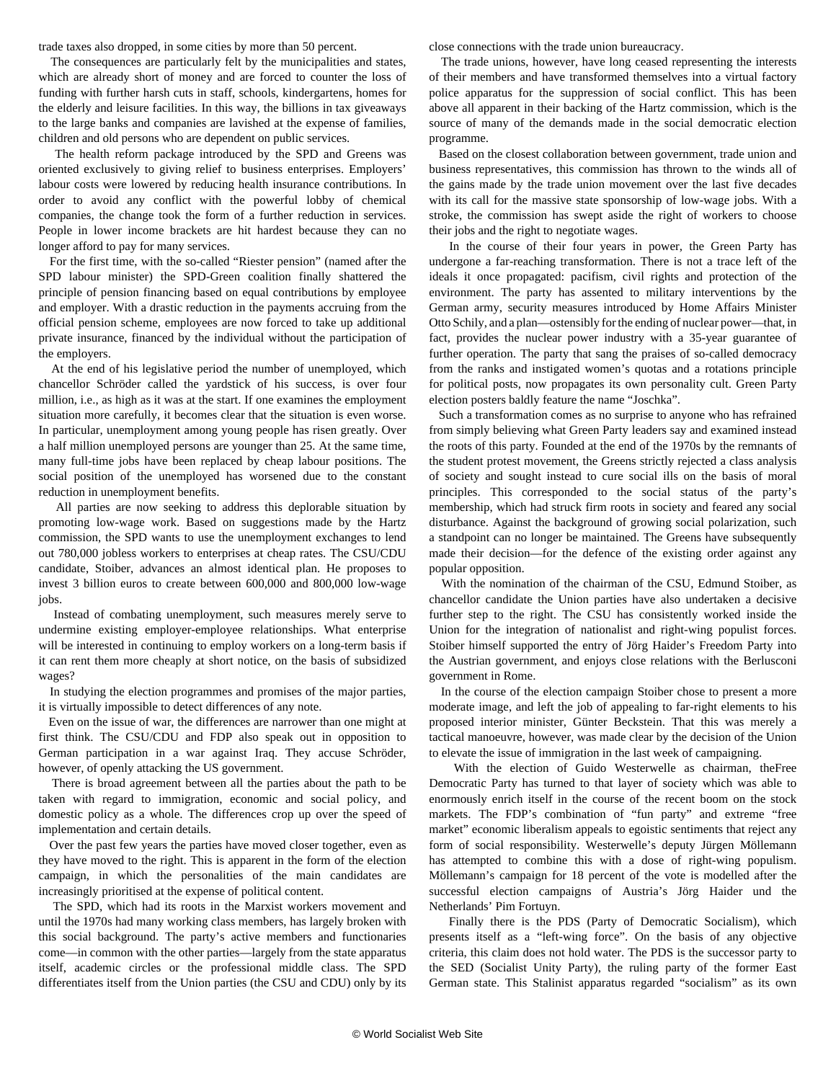trade taxes also dropped, in some cities by more than 50 percent.

 The consequences are particularly felt by the municipalities and states, which are already short of money and are forced to counter the loss of funding with further harsh cuts in staff, schools, kindergartens, homes for the elderly and leisure facilities. In this way, the billions in tax giveaways to the large banks and companies are lavished at the expense of families, children and old persons who are dependent on public services.

 The health reform package introduced by the SPD and Greens was oriented exclusively to giving relief to business enterprises. Employers' labour costs were lowered by reducing health insurance contributions. In order to avoid any conflict with the powerful lobby of chemical companies, the change took the form of a further reduction in services. People in lower income brackets are hit hardest because they can no longer afford to pay for many services.

 For the first time, with the so-called "Riester pension" (named after the SPD labour minister) the SPD-Green coalition finally shattered the principle of pension financing based on equal contributions by employee and employer. With a drastic reduction in the payments accruing from the official pension scheme, employees are now forced to take up additional private insurance, financed by the individual without the participation of the employers.

 At the end of his legislative period the number of unemployed, which chancellor Schröder called the yardstick of his success, is over four million, i.e., as high as it was at the start. If one examines the employment situation more carefully, it becomes clear that the situation is even worse. In particular, unemployment among young people has risen greatly. Over a half million unemployed persons are younger than 25. At the same time, many full-time jobs have been replaced by cheap labour positions. The social position of the unemployed has worsened due to the constant reduction in unemployment benefits.

 All parties are now seeking to address this deplorable situation by promoting low-wage work. Based on suggestions made by the Hartz commission, the SPD wants to use the unemployment exchanges to lend out 780,000 jobless workers to enterprises at cheap rates. The CSU/CDU candidate, Stoiber, advances an almost identical plan. He proposes to invest 3 billion euros to create between 600,000 and 800,000 low-wage jobs.

 Instead of combating unemployment, such measures merely serve to undermine existing employer-employee relationships. What enterprise will be interested in continuing to employ workers on a long-term basis if it can rent them more cheaply at short notice, on the basis of subsidized wages?

 In studying the election programmes and promises of the major parties, it is virtually impossible to detect differences of any note.

 Even on the issue of war, the differences are narrower than one might at first think. The CSU/CDU and FDP also speak out in opposition to German participation in a war against Iraq. They accuse Schröder, however, of openly attacking the US government.

 There is broad agreement between all the parties about the path to be taken with regard to immigration, economic and social policy, and domestic policy as a whole. The differences crop up over the speed of implementation and certain details.

 Over the past few years the parties have moved closer together, even as they have moved to the right. This is apparent in the form of the election campaign, in which the personalities of the main candidates are increasingly prioritised at the expense of political content.

 The SPD, which had its roots in the Marxist workers movement and until the 1970s had many working class members, has largely broken with this social background. The party's active members and functionaries come—in common with the other parties—largely from the state apparatus itself, academic circles or the professional middle class. The SPD differentiates itself from the Union parties (the CSU and CDU) only by its

close connections with the trade union bureaucracy.

 The trade unions, however, have long ceased representing the interests of their members and have transformed themselves into a virtual factory police apparatus for the suppression of social conflict. This has been above all apparent in their backing of the Hartz commission, which is the source of many of the demands made in the social democratic election programme.

 Based on the closest collaboration between government, trade union and business representatives, this commission has thrown to the winds all of the gains made by the trade union movement over the last five decades with its call for the massive state sponsorship of low-wage jobs. With a stroke, the commission has swept aside the right of workers to choose their jobs and the right to negotiate wages.

 In the course of their four years in power, the Green Party has undergone a far-reaching transformation. There is not a trace left of the ideals it once propagated: pacifism, civil rights and protection of the environment. The party has assented to military interventions by the German army, security measures introduced by Home Affairs Minister Otto Schily, and a plan—ostensibly for the ending of nuclear power—that, in fact, provides the nuclear power industry with a 35-year guarantee of further operation. The party that sang the praises of so-called democracy from the ranks and instigated women's quotas and a rotations principle for political posts, now propagates its own personality cult. Green Party election posters baldly feature the name "Joschka".

 Such a transformation comes as no surprise to anyone who has refrained from simply believing what Green Party leaders say and examined instead the roots of this party. Founded at the end of the 1970s by the remnants of the student protest movement, the Greens strictly rejected a class analysis of society and sought instead to cure social ills on the basis of moral principles. This corresponded to the social status of the party's membership, which had struck firm roots in society and feared any social disturbance. Against the background of growing social polarization, such a standpoint can no longer be maintained. The Greens have subsequently made their decision—for the defence of the existing order against any popular opposition.

 With the nomination of the chairman of the CSU, Edmund Stoiber, as chancellor candidate the Union parties have also undertaken a decisive further step to the right. The CSU has consistently worked inside the Union for the integration of nationalist and right-wing populist forces. Stoiber himself supported the entry of Jörg Haider's Freedom Party into the Austrian government, and enjoys close relations with the Berlusconi government in Rome.

 In the course of the election campaign Stoiber chose to present a more moderate image, and left the job of appealing to far-right elements to his proposed interior minister, Günter Beckstein. That this was merely a tactical manoeuvre, however, was made clear by the decision of the Union to elevate the issue of immigration in the last week of campaigning.

 With the election of Guido Westerwelle as chairman, theFree Democratic Party has turned to that layer of society which was able to enormously enrich itself in the course of the recent boom on the stock markets. The FDP's combination of "fun party" and extreme "free market" economic liberalism appeals to egoistic sentiments that reject any form of social responsibility. Westerwelle's deputy Jürgen Möllemann has attempted to combine this with a dose of right-wing populism. Möllemann's campaign for 18 percent of the vote is modelled after the successful election campaigns of Austria's Jörg Haider und the Netherlands' Pim Fortuyn.

 Finally there is the PDS (Party of Democratic Socialism), which presents itself as a "left-wing force". On the basis of any objective criteria, this claim does not hold water. The PDS is the successor party to the SED (Socialist Unity Party), the ruling party of the former East German state. This Stalinist apparatus regarded "socialism" as its own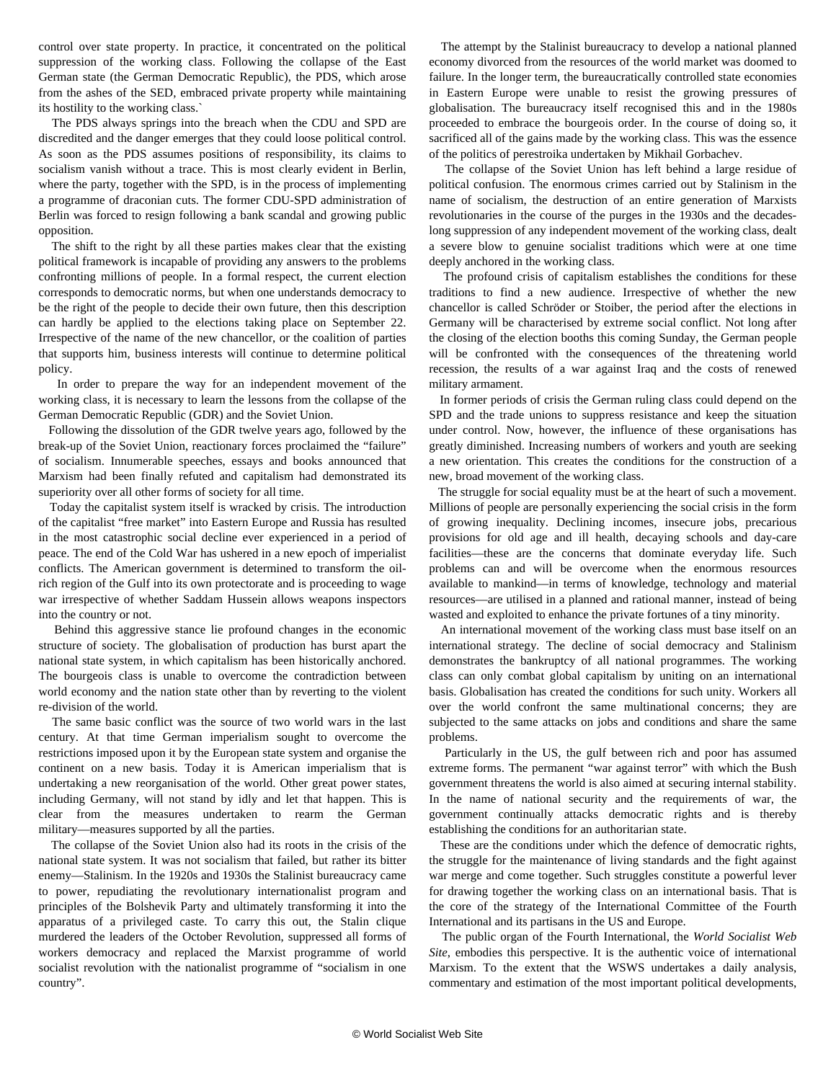control over state property. In practice, it concentrated on the political suppression of the working class. Following the collapse of the East German state (the German Democratic Republic), the PDS, which arose from the ashes of the SED, embraced private property while maintaining its hostility to the working class.`

 The PDS always springs into the breach when the CDU and SPD are discredited and the danger emerges that they could loose political control. As soon as the PDS assumes positions of responsibility, its claims to socialism vanish without a trace. This is most clearly evident in Berlin, where the party, together with the SPD, is in the process of implementing a programme of draconian cuts. The former CDU-SPD administration of Berlin was forced to resign following a bank scandal and growing public opposition.

 The shift to the right by all these parties makes clear that the existing political framework is incapable of providing any answers to the problems confronting millions of people. In a formal respect, the current election corresponds to democratic norms, but when one understands democracy to be the right of the people to decide their own future, then this description can hardly be applied to the elections taking place on September 22. Irrespective of the name of the new chancellor, or the coalition of parties that supports him, business interests will continue to determine political policy.

 In order to prepare the way for an independent movement of the working class, it is necessary to learn the lessons from the collapse of the German Democratic Republic (GDR) and the Soviet Union.

 Following the dissolution of the GDR twelve years ago, followed by the break-up of the Soviet Union, reactionary forces proclaimed the "failure" of socialism. Innumerable speeches, essays and books announced that Marxism had been finally refuted and capitalism had demonstrated its superiority over all other forms of society for all time.

 Today the capitalist system itself is wracked by crisis. The introduction of the capitalist "free market" into Eastern Europe and Russia has resulted in the most catastrophic social decline ever experienced in a period of peace. The end of the Cold War has ushered in a new epoch of imperialist conflicts. The American government is determined to transform the oilrich region of the Gulf into its own protectorate and is proceeding to wage war irrespective of whether Saddam Hussein allows weapons inspectors into the country or not.

 Behind this aggressive stance lie profound changes in the economic structure of society. The globalisation of production has burst apart the national state system, in which capitalism has been historically anchored. The bourgeois class is unable to overcome the contradiction between world economy and the nation state other than by reverting to the violent re-division of the world.

 The same basic conflict was the source of two world wars in the last century. At that time German imperialism sought to overcome the restrictions imposed upon it by the European state system and organise the continent on a new basis. Today it is American imperialism that is undertaking a new reorganisation of the world. Other great power states, including Germany, will not stand by idly and let that happen. This is clear from the measures undertaken to rearm the German military—measures supported by all the parties.

 The collapse of the Soviet Union also had its roots in the crisis of the national state system. It was not socialism that failed, but rather its bitter enemy—Stalinism. In the 1920s and 1930s the Stalinist bureaucracy came to power, repudiating the revolutionary internationalist program and principles of the Bolshevik Party and ultimately transforming it into the apparatus of a privileged caste. To carry this out, the Stalin clique murdered the leaders of the October Revolution, suppressed all forms of workers democracy and replaced the Marxist programme of world socialist revolution with the nationalist programme of "socialism in one country".

 The attempt by the Stalinist bureaucracy to develop a national planned economy divorced from the resources of the world market was doomed to failure. In the longer term, the bureaucratically controlled state economies in Eastern Europe were unable to resist the growing pressures of globalisation. The bureaucracy itself recognised this and in the 1980s proceeded to embrace the bourgeois order. In the course of doing so, it sacrificed all of the gains made by the working class. This was the essence of the politics of perestroika undertaken by Mikhail Gorbachev.

 The collapse of the Soviet Union has left behind a large residue of political confusion. The enormous crimes carried out by Stalinism in the name of socialism, the destruction of an entire generation of Marxists revolutionaries in the course of the purges in the 1930s and the decadeslong suppression of any independent movement of the working class, dealt a severe blow to genuine socialist traditions which were at one time deeply anchored in the working class.

 The profound crisis of capitalism establishes the conditions for these traditions to find a new audience. Irrespective of whether the new chancellor is called Schröder or Stoiber, the period after the elections in Germany will be characterised by extreme social conflict. Not long after the closing of the election booths this coming Sunday, the German people will be confronted with the consequences of the threatening world recession, the results of a war against Iraq and the costs of renewed military armament.

 In former periods of crisis the German ruling class could depend on the SPD and the trade unions to suppress resistance and keep the situation under control. Now, however, the influence of these organisations has greatly diminished. Increasing numbers of workers and youth are seeking a new orientation. This creates the conditions for the construction of a new, broad movement of the working class.

 The struggle for social equality must be at the heart of such a movement. Millions of people are personally experiencing the social crisis in the form of growing inequality. Declining incomes, insecure jobs, precarious provisions for old age and ill health, decaying schools and day-care facilities—these are the concerns that dominate everyday life. Such problems can and will be overcome when the enormous resources available to mankind—in terms of knowledge, technology and material resources—are utilised in a planned and rational manner, instead of being wasted and exploited to enhance the private fortunes of a tiny minority.

 An international movement of the working class must base itself on an international strategy*.* The decline of social democracy and Stalinism demonstrates the bankruptcy of all national programmes. The working class can only combat global capitalism by uniting on an international basis. Globalisation has created the conditions for such unity. Workers all over the world confront the same multinational concerns; they are subjected to the same attacks on jobs and conditions and share the same problems.

 Particularly in the US, the gulf between rich and poor has assumed extreme forms. The permanent "war against terror" with which the Bush government threatens the world is also aimed at securing internal stability. In the name of national security and the requirements of war, the government continually attacks democratic rights and is thereby establishing the conditions for an authoritarian state.

 These are the conditions under which the defence of democratic rights, the struggle for the maintenance of living standards and the fight against war merge and come together. Such struggles constitute a powerful lever for drawing together the working class on an international basis. That is the core of the strategy of the International Committee of the Fourth International and its partisans in the US and Europe.

 The public organ of the Fourth International, the *World Socialist Web Site*, embodies this perspective. It is the authentic voice of international Marxism. To the extent that the WSWS undertakes a daily analysis, commentary and estimation of the most important political developments,